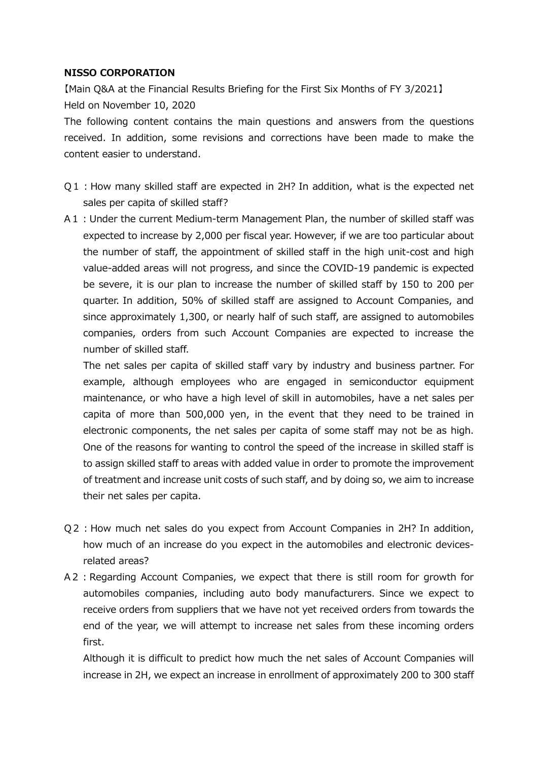## **NISSO CORPORATION**

【Main Q&A at the Financial Results Briefing for the First Six Months of FY 3/2021】 Held on November 10, 2020

The following content contains the main questions and answers from the questions received. In addition, some revisions and corrections have been made to make the content easier to understand.

- Q1:How many skilled staff are expected in 2H? In addition, what is the expected net sales per capita of skilled staff?
- A1:Under the current Medium-term Management Plan, the number of skilled staff was expected to increase by 2,000 per fiscal year. However, if we are too particular about the number of staff, the appointment of skilled staff in the high unit-cost and high value-added areas will not progress, and since the COVID-19 pandemic is expected be severe, it is our plan to increase the number of skilled staff by 150 to 200 per quarter. In addition, 50% of skilled staff are assigned to Account Companies, and since approximately 1,300, or nearly half of such staff, are assigned to automobiles companies, orders from such Account Companies are expected to increase the number of skilled staff.

The net sales per capita of skilled staff vary by industry and business partner. For example, although employees who are engaged in semiconductor equipment maintenance, or who have a high level of skill in automobiles, have a net sales per capita of more than 500,000 yen, in the event that they need to be trained in electronic components, the net sales per capita of some staff may not be as high. One of the reasons for wanting to control the speed of the increase in skilled staff is to assign skilled staff to areas with added value in order to promote the improvement of treatment and increase unit costs of such staff, and by doing so, we aim to increase their net sales per capita.

- Q2:How much net sales do you expect from Account Companies in 2H? In addition, how much of an increase do you expect in the automobiles and electronic devicesrelated areas?
- A2: Regarding Account Companies, we expect that there is still room for growth for automobiles companies, including auto body manufacturers. Since we expect to receive orders from suppliers that we have not yet received orders from towards the end of the year, we will attempt to increase net sales from these incoming orders first.

Although it is difficult to predict how much the net sales of Account Companies will increase in 2H, we expect an increase in enrollment of approximately 200 to 300 staff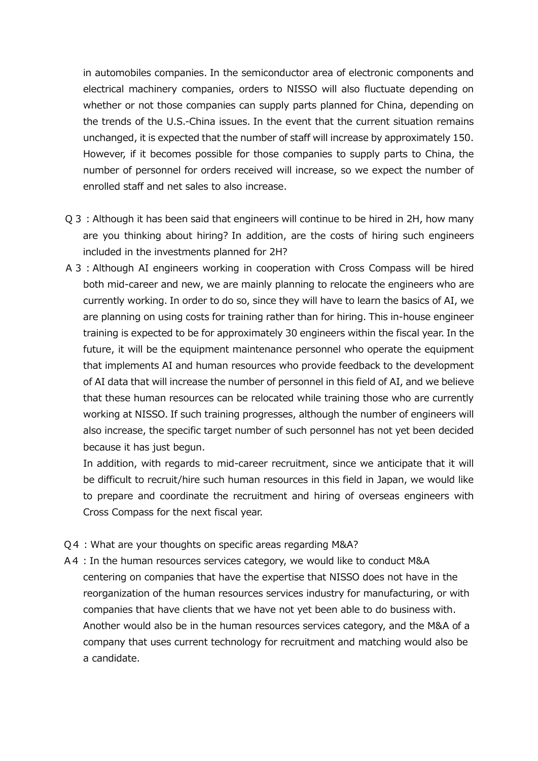in automobiles companies. In the semiconductor area of electronic components and electrical machinery companies, orders to NISSO will also fluctuate depending on whether or not those companies can supply parts planned for China, depending on the trends of the U.S.-China issues. In the event that the current situation remains unchanged, it is expected that the number of staff will increase by approximately 150. However, if it becomes possible for those companies to supply parts to China, the number of personnel for orders received will increase, so we expect the number of enrolled staff and net sales to also increase.

- Q3:Although it has been said that engineers will continue to be hired in 2H, how many are you thinking about hiring? In addition, are the costs of hiring such engineers included in the investments planned for 2H?
- A3:Although AI engineers working in cooperation with Cross Compass will be hired both mid-career and new, we are mainly planning to relocate the engineers who are currently working. In order to do so, since they will have to learn the basics of AI, we are planning on using costs for training rather than for hiring. This in-house engineer training is expected to be for approximately 30 engineers within the fiscal year. In the future, it will be the equipment maintenance personnel who operate the equipment that implements AI and human resources who provide feedback to the development of AI data that will increase the number of personnel in this field of AI, and we believe that these human resources can be relocated while training those who are currently working at NISSO. If such training progresses, although the number of engineers will also increase, the specific target number of such personnel has not yet been decided because it has just begun.

In addition, with regards to mid-career recruitment, since we anticipate that it will be difficult to recruit/hire such human resources in this field in Japan, we would like to prepare and coordinate the recruitment and hiring of overseas engineers with Cross Compass for the next fiscal year.

- Q4: What are your thoughts on specific areas regarding M&A?
- A4: In the human resources services category, we would like to conduct M&A centering on companies that have the expertise that NISSO does not have in the reorganization of the human resources services industry for manufacturing, or with companies that have clients that we have not yet been able to do business with. Another would also be in the human resources services category, and the M&A of a company that uses current technology for recruitment and matching would also be a candidate.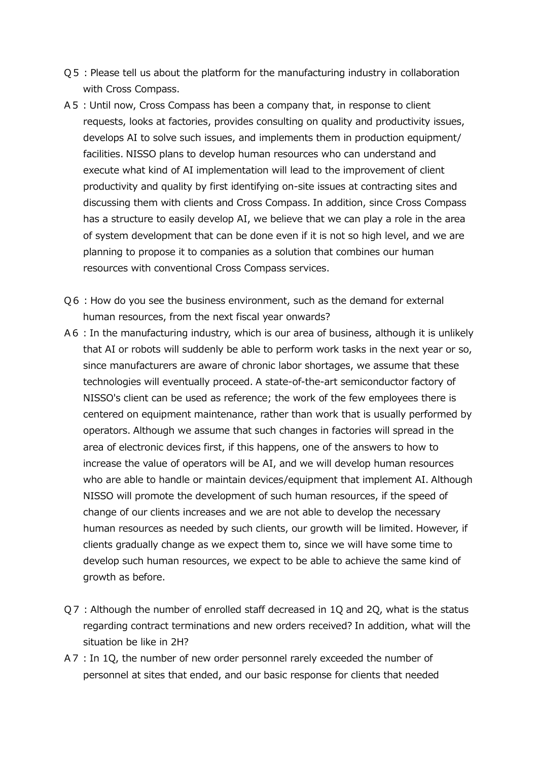- Q5:Please tell us about the platform for the manufacturing industry in collaboration with Cross Compass.
- A5:Until now, Cross Compass has been a company that, in response to client requests, looks at factories, provides consulting on quality and productivity issues, develops AI to solve such issues, and implements them in production equipment/ facilities. NISSO plans to develop human resources who can understand and execute what kind of AI implementation will lead to the improvement of client productivity and quality by first identifying on-site issues at contracting sites and discussing them with clients and Cross Compass. In addition, since Cross Compass has a structure to easily develop AI, we believe that we can play a role in the area of system development that can be done even if it is not so high level, and we are planning to propose it to companies as a solution that combines our human resources with conventional Cross Compass services.
- Q6: How do you see the business environment, such as the demand for external human resources, from the next fiscal year onwards?
- A6: In the manufacturing industry, which is our area of business, although it is unlikely that AI or robots will suddenly be able to perform work tasks in the next year or so, since manufacturers are aware of chronic labor shortages, we assume that these technologies will eventually proceed. A state-of-the-art semiconductor factory of NISSO's client can be used as reference; the work of the few employees there is centered on equipment maintenance, rather than work that is usually performed by operators. Although we assume that such changes in factories will spread in the area of electronic devices first, if this happens, one of the answers to how to increase the value of operators will be AI, and we will develop human resources who are able to handle or maintain devices/equipment that implement AI. Although NISSO will promote the development of such human resources, if the speed of change of our clients increases and we are not able to develop the necessary human resources as needed by such clients, our growth will be limited. However, if clients gradually change as we expect them to, since we will have some time to develop such human resources, we expect to be able to achieve the same kind of growth as before.
- Q7: Although the number of enrolled staff decreased in 1Q and 2Q, what is the status regarding contract terminations and new orders received? In addition, what will the situation be like in 2H?
- A7: In 10, the number of new order personnel rarely exceeded the number of personnel at sites that ended, and our basic response for clients that needed